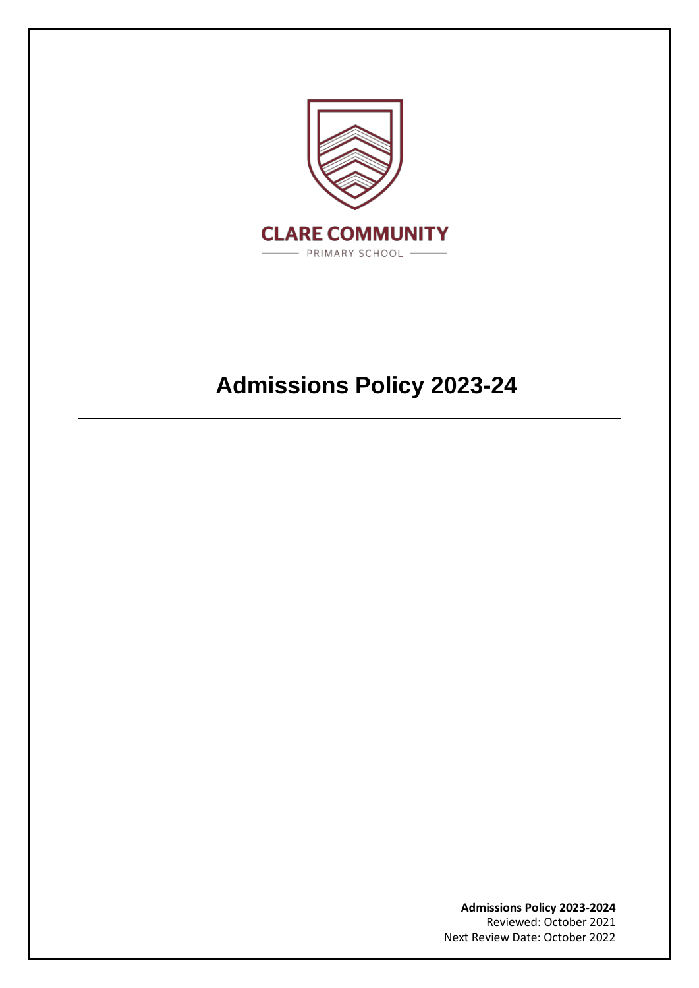

# **Admissions Policy 2023-24**

**Admissions Policy 2023-2024** Reviewed: October 2021 Next Review Date: October 2022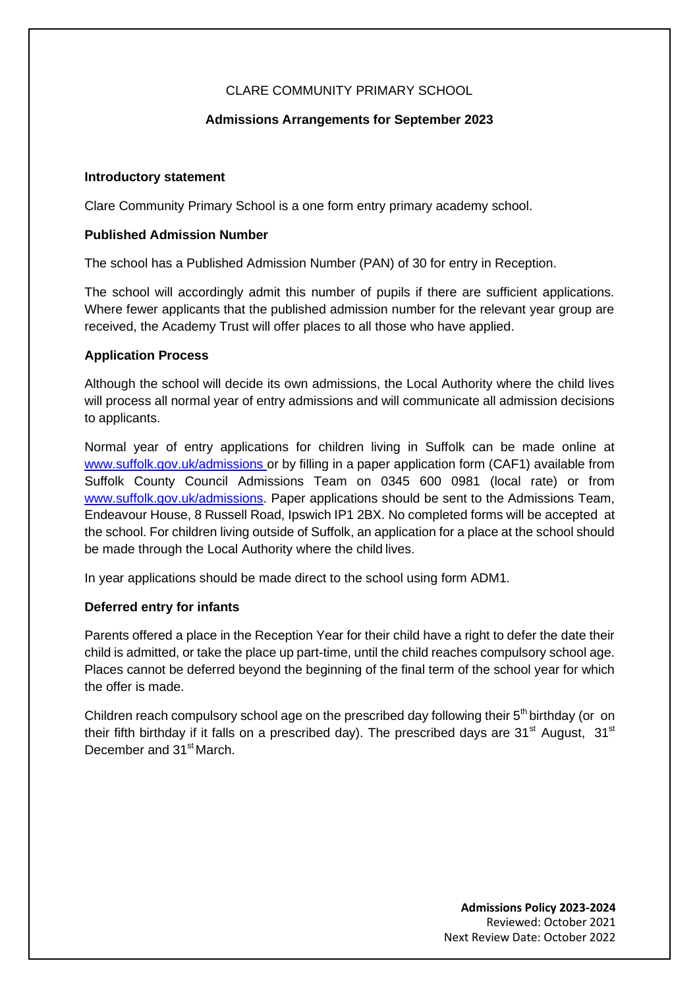# CLARE COMMUNITY PRIMARY SCHOOL

# **Admissions Arrangements for September 2023**

## **Introductory statement**

Clare Community Primary School is a one form entry primary academy school.

## **Published Admission Number**

The school has a Published Admission Number (PAN) of 30 for entry in Reception.

The school will accordingly admit this number of pupils if there are sufficient applications. Where fewer applicants that the published admission number for the relevant year group are received, the Academy Trust will offer places to all those who have applied.

## **Application Process**

Although the school will decide its own admissions, the Local Authority where the child lives will process all normal year of entry admissions and will communicate all admission decisions to applicants.

Normal year of entry applications for children living in Suffolk can be made online at [www.suffolk.gov.uk/admissions o](http://www.suffolk.gov.uk/admissions)r by filling in a paper application form (CAF1) available from Suffolk County Council Admissions Team on 0345 600 0981 (local rate) or from [www.suffolk.gov.uk/admissions.](http://www.suffolk.gov.uk/admissions) Paper applications should be sent to the Admissions Team, Endeavour House, 8 Russell Road, Ipswich IP1 2BX. No completed forms will be accepted at the school. For children living outside of Suffolk, an application for a place at the school should be made through the Local Authority where the child lives.

In year applications should be made direct to the school using form ADM1.

# **Deferred entry for infants**

Parents offered a place in the Reception Year for their child have a right to defer the date their child is admitted, or take the place up part-time, until the child reaches compulsory school age. Places cannot be deferred beyond the beginning of the final term of the school year for which the offer is made.

Children reach compulsory school age on the prescribed day following their 5<sup>th</sup> birthday (or on their fifth birthday if it falls on a prescribed day). The prescribed days are  $31<sup>st</sup>$  August,  $31<sup>st</sup>$ December and 31<sup>st</sup> March.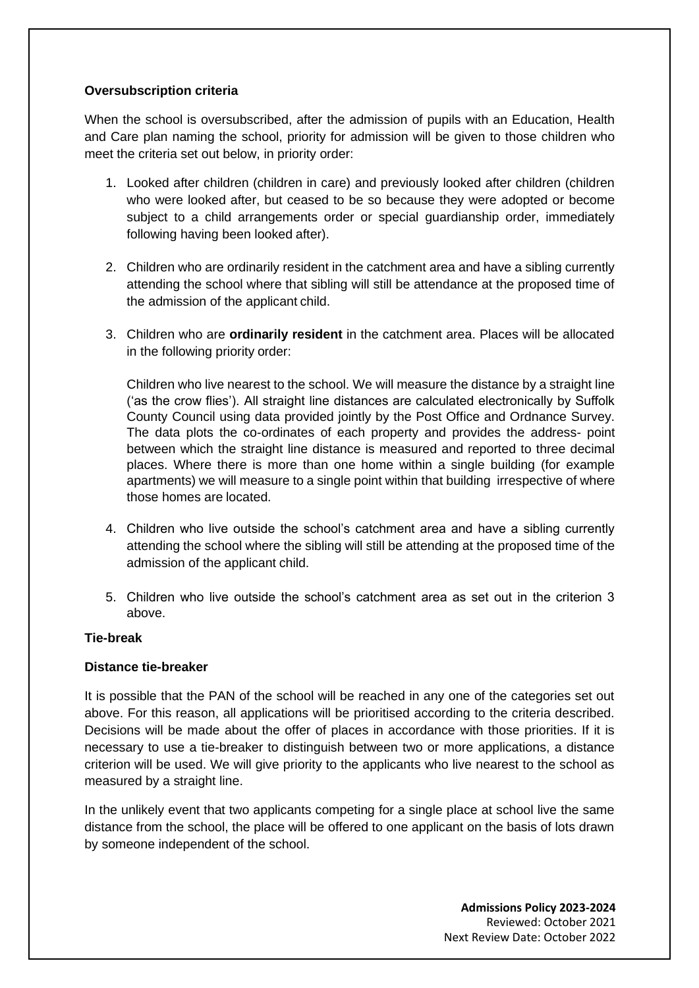## **Oversubscription criteria**

When the school is oversubscribed, after the admission of pupils with an Education, Health and Care plan naming the school, priority for admission will be given to those children who meet the criteria set out below, in priority order:

- 1. Looked after children (children in care) and previously looked after children (children who were looked after, but ceased to be so because they were adopted or become subject to a child arrangements order or special guardianship order, immediately following having been looked after).
- 2. Children who are ordinarily resident in the catchment area and have a sibling currently attending the school where that sibling will still be attendance at the proposed time of the admission of the applicant child.
- 3. Children who are **ordinarily resident** in the catchment area. Places will be allocated in the following priority order:

Children who live nearest to the school. We will measure the distance by a straight line ('as the crow flies'). All straight line distances are calculated electronically by Suffolk County Council using data provided jointly by the Post Office and Ordnance Survey. The data plots the co-ordinates of each property and provides the address- point between which the straight line distance is measured and reported to three decimal places. Where there is more than one home within a single building (for example apartments) we will measure to a single point within that building irrespective of where those homes are located.

- 4. Children who live outside the school's catchment area and have a sibling currently attending the school where the sibling will still be attending at the proposed time of the admission of the applicant child.
- 5. Children who live outside the school's catchment area as set out in the criterion 3 above.

### **Tie-break**

### **Distance tie-breaker**

It is possible that the PAN of the school will be reached in any one of the categories set out above. For this reason, all applications will be prioritised according to the criteria described. Decisions will be made about the offer of places in accordance with those priorities. If it is necessary to use a tie-breaker to distinguish between two or more applications, a distance criterion will be used. We will give priority to the applicants who live nearest to the school as measured by a straight line.

In the unlikely event that two applicants competing for a single place at school live the same distance from the school, the place will be offered to one applicant on the basis of lots drawn by someone independent of the school.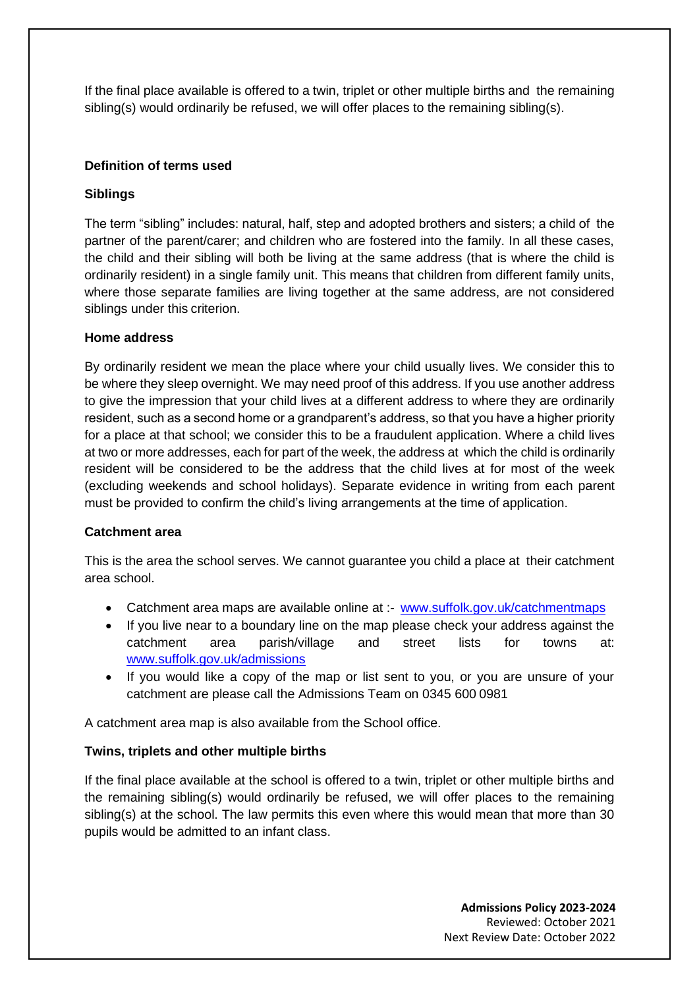If the final place available is offered to a twin, triplet or other multiple births and the remaining sibling(s) would ordinarily be refused, we will offer places to the remaining sibling(s).

## **Definition of terms used**

## **Siblings**

The term "sibling" includes: natural, half, step and adopted brothers and sisters; a child of the partner of the parent/carer; and children who are fostered into the family. In all these cases, the child and their sibling will both be living at the same address (that is where the child is ordinarily resident) in a single family unit. This means that children from different family units, where those separate families are living together at the same address, are not considered siblings under this criterion.

## **Home address**

By ordinarily resident we mean the place where your child usually lives. We consider this to be where they sleep overnight. We may need proof of this address. If you use another address to give the impression that your child lives at a different address to where they are ordinarily resident, such as a second home or a grandparent's address, so that you have a higher priority for a place at that school; we consider this to be a fraudulent application. Where a child lives at two or more addresses, each for part of the week, the address at which the child is ordinarily resident will be considered to be the address that the child lives at for most of the week (excluding weekends and school holidays). Separate evidence in writing from each parent must be provided to confirm the child's living arrangements at the time of application.

### **Catchment area**

This is the area the school serves. We cannot guarantee you child a place at their catchment area school.

- Catchment area maps are available online at :- [www.suffolk.gov.uk/catchmentmaps](http://www.suffolk.gov.uk/catchmentmaps)
- If you live near to a boundary line on the map please check your address against the catchment area parish/village and street lists for towns at: [www.suffolk.gov.uk/admissions](http://www.suffolk.gov.uk/admissions)
- If you would like a copy of the map or list sent to you, or you are unsure of your catchment are please call the Admissions Team on 0345 600 0981

A catchment area map is also available from the School office.

### **Twins, triplets and other multiple births**

If the final place available at the school is offered to a twin, triplet or other multiple births and the remaining sibling(s) would ordinarily be refused, we will offer places to the remaining sibling(s) at the school. The law permits this even where this would mean that more than 30 pupils would be admitted to an infant class.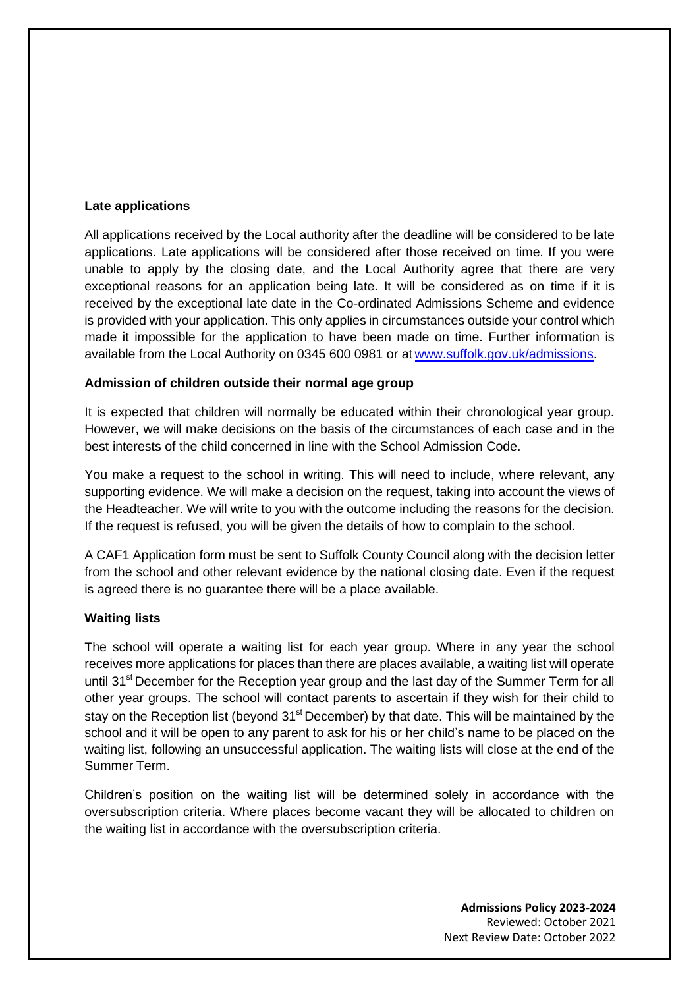### **Late applications**

All applications received by the Local authority after the deadline will be considered to be late applications. Late applications will be considered after those received on time. If you were unable to apply by the closing date, and the Local Authority agree that there are very exceptional reasons for an application being late. It will be considered as on time if it is received by the exceptional late date in the Co-ordinated Admissions Scheme and evidence is provided with your application. This only applies in circumstances outside your control which made it impossible for the application to have been made on time. Further information is available from the Local Authority on 0345 600 0981 or at [www.suffolk.gov.uk/admissions.](http://www.suffolk.gov.uk/admissions)

### **Admission of children outside their normal age group**

It is expected that children will normally be educated within their chronological year group. However, we will make decisions on the basis of the circumstances of each case and in the best interests of the child concerned in line with the School Admission Code.

You make a request to the school in writing. This will need to include, where relevant, any supporting evidence. We will make a decision on the request, taking into account the views of the Headteacher. We will write to you with the outcome including the reasons for the decision. If the request is refused, you will be given the details of how to complain to the school.

A CAF1 Application form must be sent to Suffolk County Council along with the decision letter from the school and other relevant evidence by the national closing date. Even if the request is agreed there is no guarantee there will be a place available.

### **Waiting lists**

The school will operate a waiting list for each year group. Where in any year the school receives more applications for places than there are places available, a waiting list will operate until 31<sup>st</sup> December for the Reception year group and the last day of the Summer Term for all other year groups. The school will contact parents to ascertain if they wish for their child to stay on the Reception list (beyond 31<sup>st</sup> December) by that date. This will be maintained by the school and it will be open to any parent to ask for his or her child's name to be placed on the waiting list, following an unsuccessful application. The waiting lists will close at the end of the Summer Term.

Children's position on the waiting list will be determined solely in accordance with the oversubscription criteria. Where places become vacant they will be allocated to children on the waiting list in accordance with the oversubscription criteria.